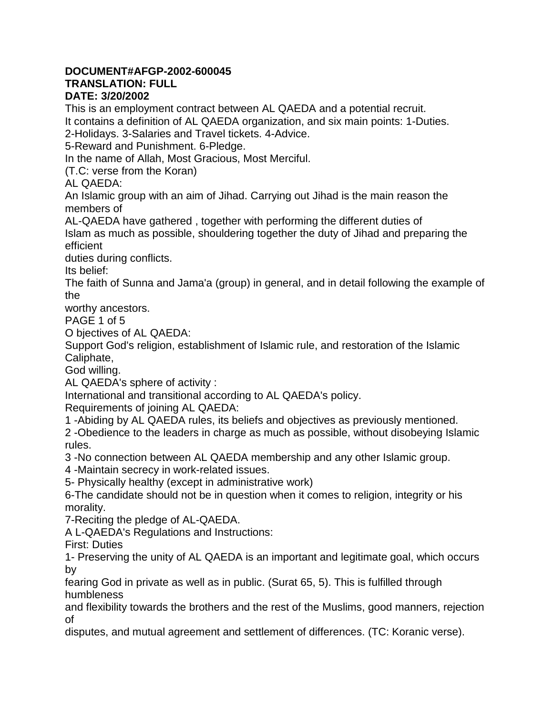## **DOCUMENT#AFGP-2002-600045**

## **TRANSLATION: FULL**

## **DATE: 3/20/2002**

This is an employment contract between AL QAEDA and a potential recruit. It contains a definition of AL QAEDA organization, and six main points: 1-Duties.

2-Holidays. 3-Salaries and Travel tickets. 4-Advice.

5-Reward and Punishment. 6-Pledge.

In the name of Allah, Most Gracious, Most Merciful.

(T.C: verse from the Koran)

AL QAEDA:

An Islamic group with an aim of Jihad. Carrying out Jihad is the main reason the members of

AL-QAEDA have gathered , together with performing the different duties of Islam as much as possible, shouldering together the duty of Jihad and preparing the efficient

duties during conflicts.

Its belief:

The faith of Sunna and Jama'a (group) in general, and in detail following the example of the

worthy ancestors.

PAGE 1 of 5

O bjectives of AL QAEDA:

Support God's religion, establishment of Islamic rule, and restoration of the Islamic Caliphate,

God willing.

AL QAEDA's sphere of activity :

International and transitional according to AL QAEDA's policy.

Requirements of joining AL QAEDA:

1 -Abiding by AL QAEDA rules, its beliefs and objectives as previously mentioned.

2 -Obedience to the leaders in charge as much as possible, without disobeying Islamic rules.

3 -No connection between AL QAEDA membership and any other Islamic group.

4 -Maintain secrecy in work-related issues.

5- Physically healthy (except in administrative work)

6-The candidate should not be in question when it comes to religion, integrity or his morality.

7-Reciting the pledge of AL-QAEDA.

A L-QAEDA's Regulations and Instructions:

First: Duties

1- Preserving the unity of AL QAEDA is an important and legitimate goal, which occurs by

fearing God in private as well as in public. (Surat 65, 5). This is fulfilled through humbleness

and flexibility towards the brothers and the rest of the Muslims, good manners, rejection of

disputes, and mutual agreement and settlement of differences. (TC: Koranic verse).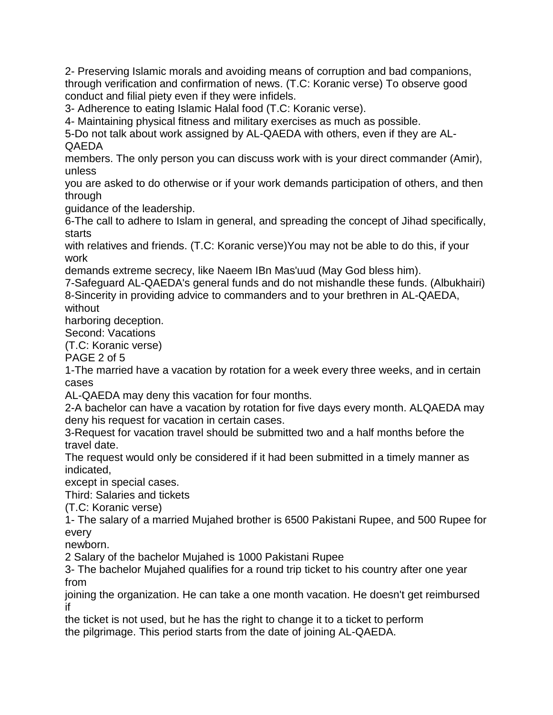2- Preserving Islamic morals and avoiding means of corruption and bad companions, through verification and confirmation of news. (T.C: Koranic verse) To observe good conduct and filial piety even if they were infidels.

3- Adherence to eating Islamic Halal food (T.C: Koranic verse).

4- Maintaining physical fitness and military exercises as much as possible.

5-Do not talk about work assigned by AL-QAEDA with others, even if they are AL-QAEDA

members. The only person you can discuss work with is your direct commander (Amir), unless

you are asked to do otherwise or if your work demands participation of others, and then through

guidance of the leadership.

6-The call to adhere to Islam in general, and spreading the concept of Jihad specifically, starts

with relatives and friends. (T.C: Koranic verse)You may not be able to do this, if your work

demands extreme secrecy, like Naeem IBn Mas'uud (May God bless him).

7-Safeguard AL-QAEDA's general funds and do not mishandle these funds. (Albukhairi) 8-Sincerity in providing advice to commanders and to your brethren in AL-QAEDA, without

harboring deception.

Second: Vacations

(T.C: Koranic verse)

PAGE 2 of 5

1-The married have a vacation by rotation for a week every three weeks, and in certain cases

AL-QAEDA may deny this vacation for four months.

2-A bachelor can have a vacation by rotation for five days every month. ALQAEDA may deny his request for vacation in certain cases.

3-Request for vacation travel should be submitted two and a half months before the travel date.

The request would only be considered if it had been submitted in a timely manner as indicated,

except in special cases.

Third: Salaries and tickets

(T.C: Koranic verse)

1- The salary of a married Mujahed brother is 6500 Pakistani Rupee, and 500 Rupee for every

newborn.

2 Salary of the bachelor Mujahed is 1000 Pakistani Rupee

3- The bachelor Mujahed qualifies for a round trip ticket to his country after one year from

joining the organization. He can take a one month vacation. He doesn't get reimbursed if

the ticket is not used, but he has the right to change it to a ticket to perform the pilgrimage. This period starts from the date of joining AL-QAEDA.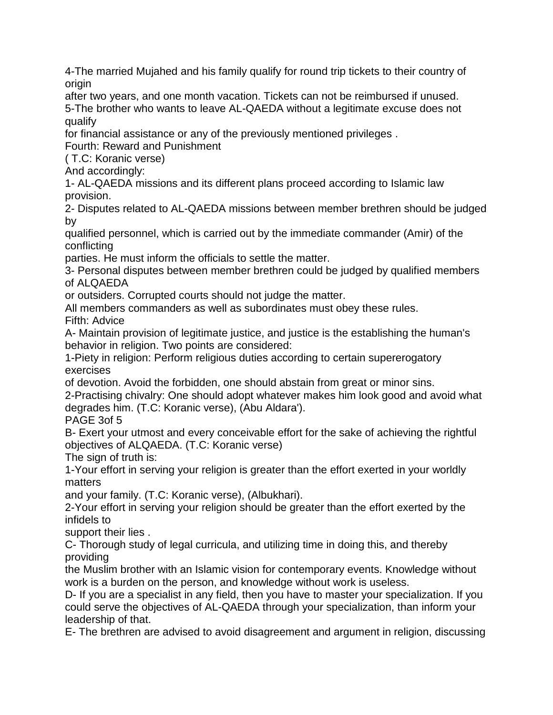4-The married Mujahed and his family qualify for round trip tickets to their country of origin

after two years, and one month vacation. Tickets can not be reimbursed if unused. 5-The brother who wants to leave AL-QAEDA without a legitimate excuse does not qualify

for financial assistance or any of the previously mentioned privileges .

Fourth: Reward and Punishment

( T.C: Koranic verse)

And accordingly:

1- AL-QAEDA missions and its different plans proceed according to Islamic law provision.

2- Disputes related to AL-QAEDA missions between member brethren should be judged by

qualified personnel, which is carried out by the immediate commander (Amir) of the conflicting

parties. He must inform the officials to settle the matter.

3- Personal disputes between member brethren could be judged by qualified members of ALQAEDA

or outsiders. Corrupted courts should not judge the matter.

All members commanders as well as subordinates must obey these rules.

Fifth: Advice

A- Maintain provision of legitimate justice, and justice is the establishing the human's behavior in religion. Two points are considered:

1-Piety in religion: Perform religious duties according to certain supererogatory exercises

of devotion. Avoid the forbidden, one should abstain from great or minor sins.

2-Practising chivalry: One should adopt whatever makes him look good and avoid what degrades him. (T.C: Koranic verse), (Abu Aldara').

PAGE 3of 5

B- Exert your utmost and every conceivable effort for the sake of achieving the rightful objectives of ALQAEDA. (T.C: Koranic verse)

The sign of truth is:

1-Your effort in serving your religion is greater than the effort exerted in your worldly matters

and your family. (T.C: Koranic verse), (Albukhari).

2-Your effort in serving your religion should be greater than the effort exerted by the infidels to

support their lies .

C- Thorough study of legal curricula, and utilizing time in doing this, and thereby providing

the Muslim brother with an Islamic vision for contemporary events. Knowledge without work is a burden on the person, and knowledge without work is useless.

D- If you are a specialist in any field, then you have to master your specialization. If you could serve the objectives of AL-QAEDA through your specialization, than inform your leadership of that.

E- The brethren are advised to avoid disagreement and argument in religion, discussing